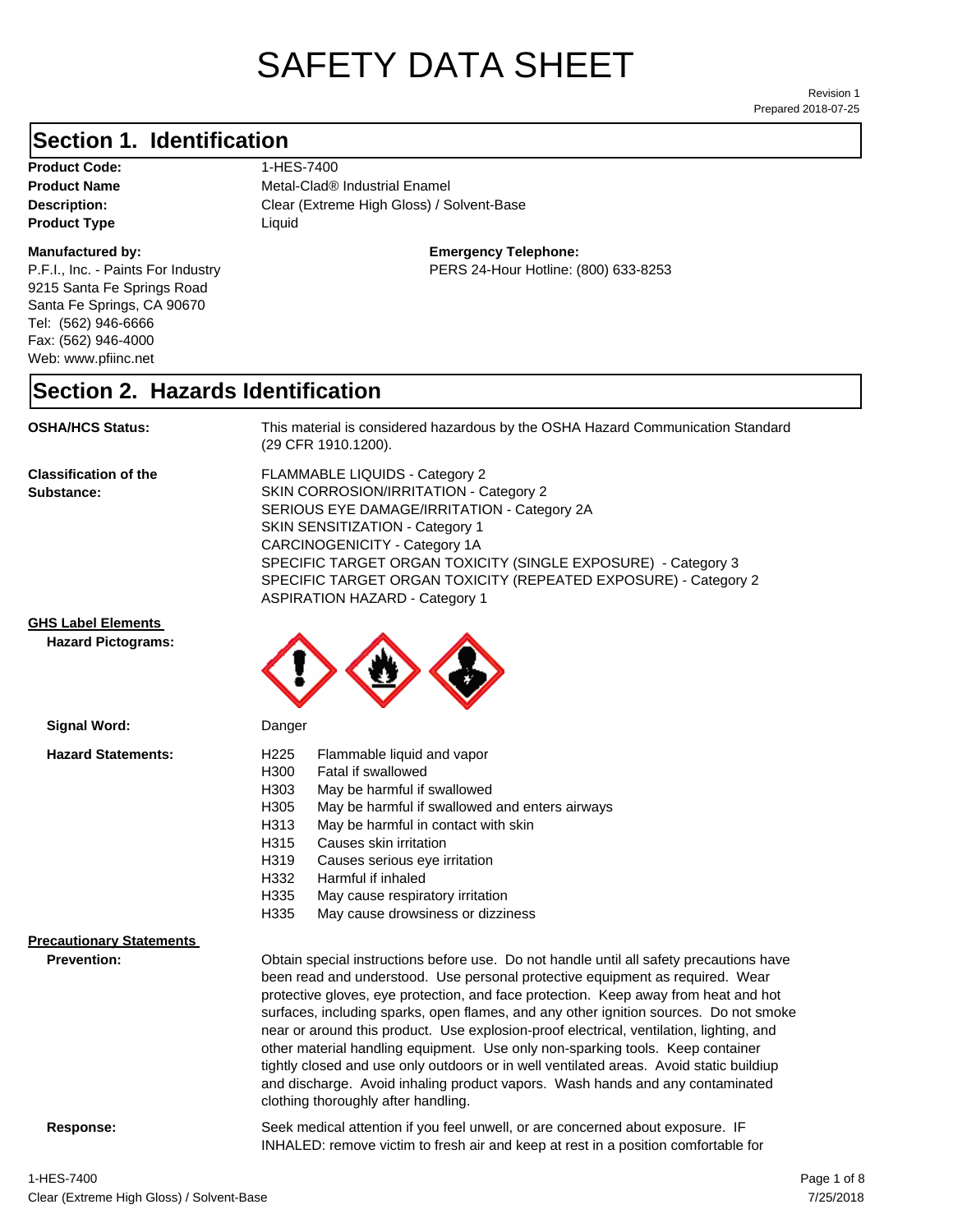# SAFETY DATA SHEET

Prepared 2018-07-25 Revision 1

#### **Section 1. Identification**

Product Code: 1-HES-7400 **Product Type Liquid Liquid** 

#### **Manufactured by:**

P.F.I., Inc. - Paints For Industry 9215 Santa Fe Springs Road Santa Fe Springs, CA 90670 Tel: (562) 946-6666 Fax: (562) 946-4000 Web: www.pfiinc.net

Description: Clear (Extreme High Gloss) / Solvent-Base **Product Name** Metal-Clad<sup>®</sup> Industrial Enamel

**Emergency Telephone:**

PERS 24-Hour Hotline: (800) 633-8253

#### **Section 2. Hazards Identification**

**OSHA/HCS Status:** This material is considered hazardous by the OSHA Hazard Communication Standard (29 CFR 1910.1200).

**Classification of the Substance:**

FLAMMABLE LIQUIDS - Category 2 SKIN CORROSION/IRRITATION - Category 2 SERIOUS EYE DAMAGE/IRRITATION - Category 2A SKIN SENSITIZATION - Category 1 CARCINOGENICITY - Category 1A SPECIFIC TARGET ORGAN TOXICITY (SINGLE EXPOSURE) - Category 3 SPECIFIC TARGET ORGAN TOXICITY (REPEATED EXPOSURE) - Category 2 ASPIRATION HAZARD - Category 1

#### **GHS Label Elements**

**Signal Word:**

**Hazard Pictograms:**



| <b>Hazard Statements:</b> | H225                                                                                                                                                                                                                                                                                                                                                                                                                                                                                                                                  | Flammable liquid and vapor                     |
|---------------------------|---------------------------------------------------------------------------------------------------------------------------------------------------------------------------------------------------------------------------------------------------------------------------------------------------------------------------------------------------------------------------------------------------------------------------------------------------------------------------------------------------------------------------------------|------------------------------------------------|
|                           | H300                                                                                                                                                                                                                                                                                                                                                                                                                                                                                                                                  | Fatal if swallowed                             |
|                           | H303                                                                                                                                                                                                                                                                                                                                                                                                                                                                                                                                  | May be harmful if swallowed                    |
|                           | H305                                                                                                                                                                                                                                                                                                                                                                                                                                                                                                                                  | May be harmful if swallowed and enters airways |
|                           | H313                                                                                                                                                                                                                                                                                                                                                                                                                                                                                                                                  | May be harmful in contact with skin            |
|                           | H315                                                                                                                                                                                                                                                                                                                                                                                                                                                                                                                                  | Causes skin irritation                         |
|                           | H319                                                                                                                                                                                                                                                                                                                                                                                                                                                                                                                                  | Causes serious eye irritation                  |
|                           | H332                                                                                                                                                                                                                                                                                                                                                                                                                                                                                                                                  | Harmful if inhaled                             |
|                           | H335                                                                                                                                                                                                                                                                                                                                                                                                                                                                                                                                  | May cause respiratory irritation               |
|                           | H335                                                                                                                                                                                                                                                                                                                                                                                                                                                                                                                                  | May cause drowsiness or dizziness              |
| Precautionary Statements  |                                                                                                                                                                                                                                                                                                                                                                                                                                                                                                                                       |                                                |
| <b>Prevention:</b>        | Obtain special instructions before use. Do not handle until all safety precautions have<br>been read and understood. Use personal protective equipment as required. Wear<br>protective gloves, eye protection, and face protection. Keep away from heat and hot<br>surfaces, including sparks, open flames, and any other ignition sources. Do not smoke<br>near or around this product. Use explosion-proof electrical, ventilation, lighting, and<br>other material handling equipment. Use only non-sparking tools. Keep container |                                                |

clothing thoroughly after handling.

**Response:** Seek medical attention if you feel unwell, or are concerned about exposure. IF INHALED: remove victim to fresh air and keep at rest in a position comfortable for

tightly closed and use only outdoors or in well ventilated areas. Avoid static buildiup and discharge. Avoid inhaling product vapors. Wash hands and any contaminated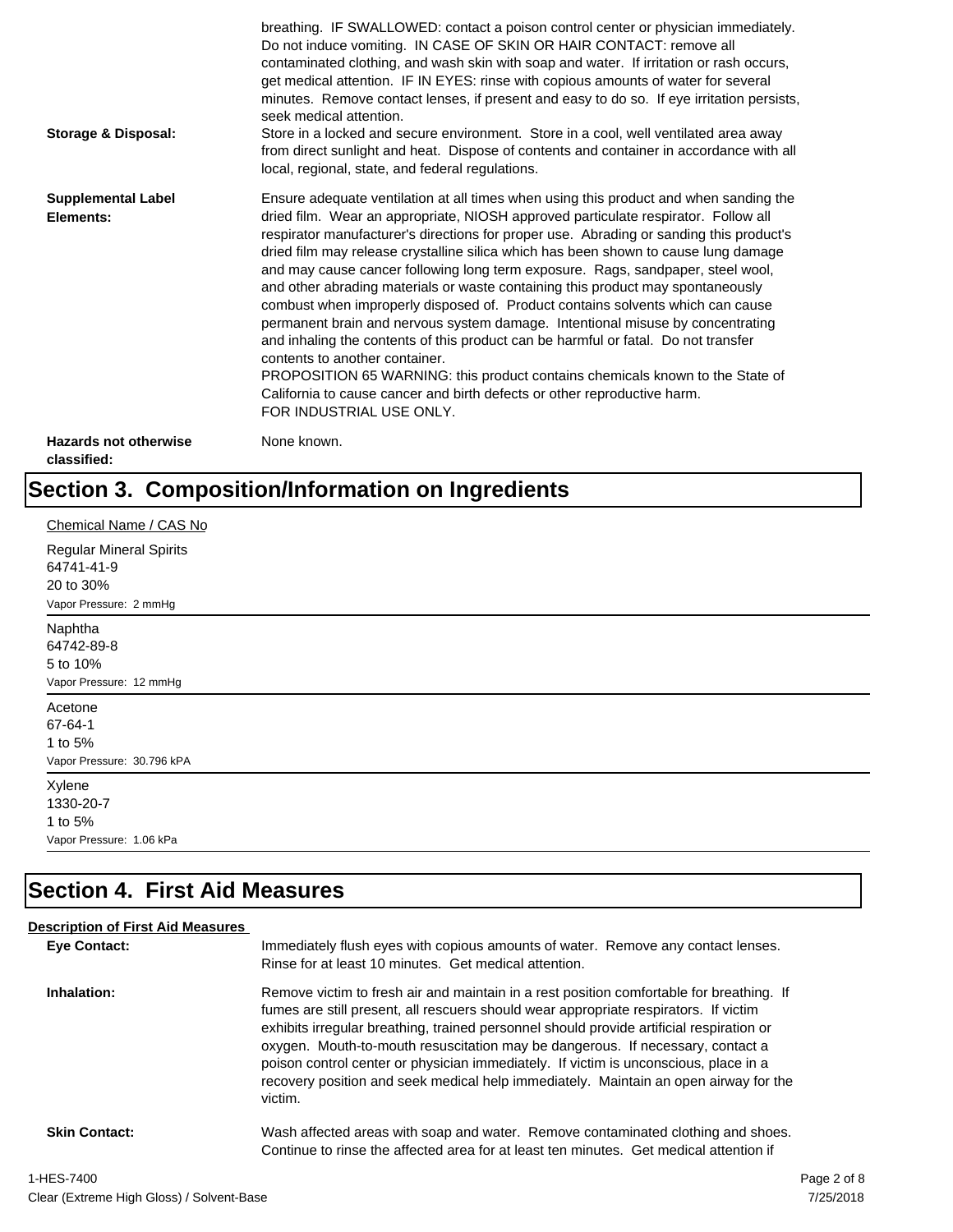| Storage & Disposal:                         | breathing. IF SWALLOWED: contact a poison control center or physician immediately.<br>Do not induce vomiting. IN CASE OF SKIN OR HAIR CONTACT: remove all<br>contaminated clothing, and wash skin with soap and water. If irritation or rash occurs,<br>get medical attention. IF IN EYES: rinse with copious amounts of water for several<br>minutes. Remove contact lenses, if present and easy to do so. If eye irritation persists,<br>seek medical attention.<br>Store in a locked and secure environment. Store in a cool, well ventilated area away<br>from direct sunlight and heat. Dispose of contents and container in accordance with all<br>local, regional, state, and federal regulations.                                                                                                                                                                                                                                                                                                                |
|---------------------------------------------|--------------------------------------------------------------------------------------------------------------------------------------------------------------------------------------------------------------------------------------------------------------------------------------------------------------------------------------------------------------------------------------------------------------------------------------------------------------------------------------------------------------------------------------------------------------------------------------------------------------------------------------------------------------------------------------------------------------------------------------------------------------------------------------------------------------------------------------------------------------------------------------------------------------------------------------------------------------------------------------------------------------------------|
| <b>Supplemental Label</b><br>Elements:      | Ensure adequate ventilation at all times when using this product and when sanding the<br>dried film. Wear an appropriate, NIOSH approved particulate respirator. Follow all<br>respirator manufacturer's directions for proper use. Abrading or sanding this product's<br>dried film may release crystalline silica which has been shown to cause lung damage<br>and may cause cancer following long term exposure. Rags, sandpaper, steel wool,<br>and other abrading materials or waste containing this product may spontaneously<br>combust when improperly disposed of. Product contains solvents which can cause<br>permanent brain and nervous system damage. Intentional misuse by concentrating<br>and inhaling the contents of this product can be harmful or fatal. Do not transfer<br>contents to another container.<br>PROPOSITION 65 WARNING: this product contains chemicals known to the State of<br>California to cause cancer and birth defects or other reproductive harm.<br>FOR INDUSTRIAL USE ONLY. |
| <b>Hazards not otherwise</b><br>classified: | None known.                                                                                                                                                                                                                                                                                                                                                                                                                                                                                                                                                                                                                                                                                                                                                                                                                                                                                                                                                                                                              |

# **Section 3. Composition/Information on Ingredients**

| Chemical Name / CAS No                                                              |
|-------------------------------------------------------------------------------------|
| <b>Regular Mineral Spirits</b><br>64741-41-9<br>20 to 30%<br>Vapor Pressure: 2 mmHg |
| Naphtha                                                                             |
| 64742-89-8                                                                          |
| 5 to 10%                                                                            |
| Vapor Pressure: 12 mmHg                                                             |
| Acetone                                                                             |
| 67-64-1                                                                             |
| 1 to 5%                                                                             |
| Vapor Pressure: 30.796 kPA                                                          |
| Xylene                                                                              |
| 1330-20-7                                                                           |
| 1 to 5%                                                                             |
| Vapor Pressure: 1.06 kPa                                                            |

# **Section 4. First Aid Measures**

| <b>Description of First Aid Measures</b> |                                                                                                                                                                                                                                                                                                                                                                                                                                                                                                                                                           |             |
|------------------------------------------|-----------------------------------------------------------------------------------------------------------------------------------------------------------------------------------------------------------------------------------------------------------------------------------------------------------------------------------------------------------------------------------------------------------------------------------------------------------------------------------------------------------------------------------------------------------|-------------|
| <b>Eye Contact:</b>                      | Immediately flush eyes with copious amounts of water. Remove any contact lenses.<br>Rinse for at least 10 minutes. Get medical attention.                                                                                                                                                                                                                                                                                                                                                                                                                 |             |
| Inhalation:                              | Remove victim to fresh air and maintain in a rest position comfortable for breathing. If<br>fumes are still present, all rescuers should wear appropriate respirators. If victim<br>exhibits irregular breathing, trained personnel should provide artificial respiration or<br>oxygen. Mouth-to-mouth resuscitation may be dangerous. If necessary, contact a<br>poison control center or physician immediately. If victim is unconscious, place in a<br>recovery position and seek medical help immediately. Maintain an open airway for the<br>victim. |             |
| <b>Skin Contact:</b>                     | Wash affected areas with soap and water. Remove contaminated clothing and shoes.<br>Continue to rinse the affected area for at least ten minutes. Get medical attention if                                                                                                                                                                                                                                                                                                                                                                                |             |
| 1-HES-7400                               |                                                                                                                                                                                                                                                                                                                                                                                                                                                                                                                                                           | Page 2 of 8 |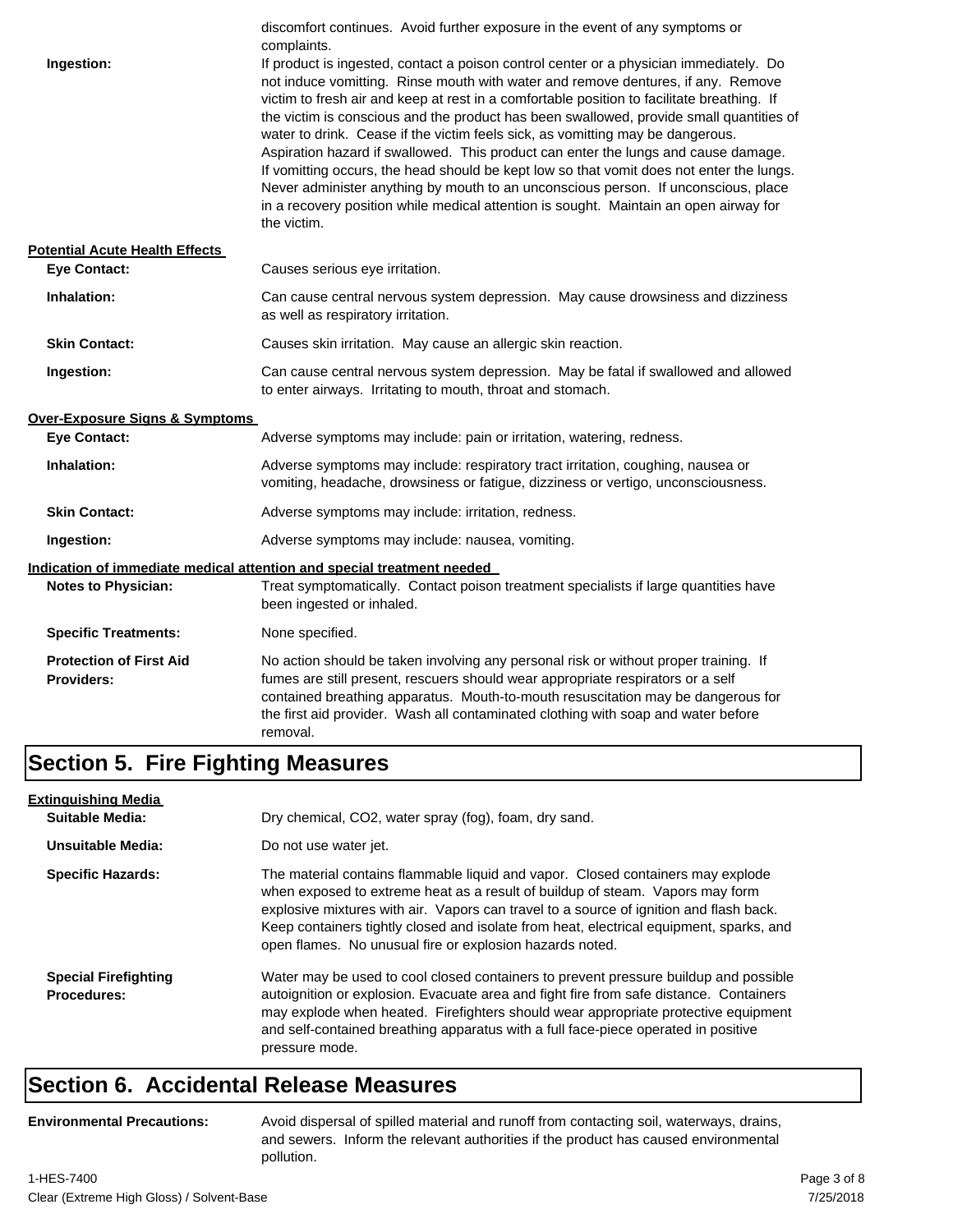|                                                              | discomfort continues. Avoid further exposure in the event of any symptoms or<br>complaints.                                                                                                                                                                                                                                                                                                                                                                                                                                                                                                                                                                                                                                                                                                                                           |
|--------------------------------------------------------------|---------------------------------------------------------------------------------------------------------------------------------------------------------------------------------------------------------------------------------------------------------------------------------------------------------------------------------------------------------------------------------------------------------------------------------------------------------------------------------------------------------------------------------------------------------------------------------------------------------------------------------------------------------------------------------------------------------------------------------------------------------------------------------------------------------------------------------------|
| Ingestion:                                                   | If product is ingested, contact a poison control center or a physician immediately. Do<br>not induce vomitting. Rinse mouth with water and remove dentures, if any. Remove<br>victim to fresh air and keep at rest in a comfortable position to facilitate breathing. If<br>the victim is conscious and the product has been swallowed, provide small quantities of<br>water to drink. Cease if the victim feels sick, as vomitting may be dangerous.<br>Aspiration hazard if swallowed. This product can enter the lungs and cause damage.<br>If vomitting occurs, the head should be kept low so that vomit does not enter the lungs.<br>Never administer anything by mouth to an unconscious person. If unconscious, place<br>in a recovery position while medical attention is sought. Maintain an open airway for<br>the victim. |
| <b>Potential Acute Health Effects</b><br><b>Eye Contact:</b> | Causes serious eye irritation.                                                                                                                                                                                                                                                                                                                                                                                                                                                                                                                                                                                                                                                                                                                                                                                                        |
| Inhalation:                                                  | Can cause central nervous system depression. May cause drowsiness and dizziness<br>as well as respiratory irritation.                                                                                                                                                                                                                                                                                                                                                                                                                                                                                                                                                                                                                                                                                                                 |
| <b>Skin Contact:</b>                                         | Causes skin irritation. May cause an allergic skin reaction.                                                                                                                                                                                                                                                                                                                                                                                                                                                                                                                                                                                                                                                                                                                                                                          |
| Ingestion:                                                   | Can cause central nervous system depression. May be fatal if swallowed and allowed<br>to enter airways. Irritating to mouth, throat and stomach.                                                                                                                                                                                                                                                                                                                                                                                                                                                                                                                                                                                                                                                                                      |
| <b>Over-Exposure Signs &amp; Symptoms</b>                    |                                                                                                                                                                                                                                                                                                                                                                                                                                                                                                                                                                                                                                                                                                                                                                                                                                       |
| <b>Eye Contact:</b>                                          | Adverse symptoms may include: pain or irritation, watering, redness.                                                                                                                                                                                                                                                                                                                                                                                                                                                                                                                                                                                                                                                                                                                                                                  |
| Inhalation:                                                  | Adverse symptoms may include: respiratory tract irritation, coughing, nausea or<br>vomiting, headache, drowsiness or fatigue, dizziness or vertigo, unconsciousness.                                                                                                                                                                                                                                                                                                                                                                                                                                                                                                                                                                                                                                                                  |
| <b>Skin Contact:</b>                                         | Adverse symptoms may include: irritation, redness.                                                                                                                                                                                                                                                                                                                                                                                                                                                                                                                                                                                                                                                                                                                                                                                    |
| Ingestion:                                                   | Adverse symptoms may include: nausea, vomiting.                                                                                                                                                                                                                                                                                                                                                                                                                                                                                                                                                                                                                                                                                                                                                                                       |
|                                                              | Indication of immediate medical attention and special treatment needed                                                                                                                                                                                                                                                                                                                                                                                                                                                                                                                                                                                                                                                                                                                                                                |
| <b>Notes to Physician:</b>                                   | Treat symptomatically. Contact poison treatment specialists if large quantities have<br>been ingested or inhaled.                                                                                                                                                                                                                                                                                                                                                                                                                                                                                                                                                                                                                                                                                                                     |
| <b>Specific Treatments:</b>                                  | None specified.                                                                                                                                                                                                                                                                                                                                                                                                                                                                                                                                                                                                                                                                                                                                                                                                                       |
| <b>Protection of First Aid</b><br><b>Providers:</b>          | No action should be taken involving any personal risk or without proper training. If<br>fumes are still present, rescuers should wear appropriate respirators or a self<br>contained breathing apparatus. Mouth-to-mouth resuscitation may be dangerous for<br>the first aid provider. Wash all contaminated clothing with soap and water before<br>removal.                                                                                                                                                                                                                                                                                                                                                                                                                                                                          |

#### **Section 5. Fire Fighting Measures**

| <b>Extinguishing Media</b>                        |                                                                                                                                                                                                                                                                                                                                                                                                                   |  |
|---------------------------------------------------|-------------------------------------------------------------------------------------------------------------------------------------------------------------------------------------------------------------------------------------------------------------------------------------------------------------------------------------------------------------------------------------------------------------------|--|
| Suitable Media:                                   | Dry chemical, CO2, water spray (fog), foam, dry sand.                                                                                                                                                                                                                                                                                                                                                             |  |
| <b>Unsuitable Media:</b>                          | Do not use water jet.                                                                                                                                                                                                                                                                                                                                                                                             |  |
| <b>Specific Hazards:</b>                          | The material contains flammable liquid and vapor. Closed containers may explode<br>when exposed to extreme heat as a result of buildup of steam. Vapors may form<br>explosive mixtures with air. Vapors can travel to a source of ignition and flash back.<br>Keep containers tightly closed and isolate from heat, electrical equipment, sparks, and<br>open flames. No unusual fire or explosion hazards noted. |  |
| <b>Special Firefighting</b><br><b>Procedures:</b> | Water may be used to cool closed containers to prevent pressure buildup and possible<br>autoignition or explosion. Evacuate area and fight fire from safe distance. Containers<br>may explode when heated. Firefighters should wear appropriate protective equipment<br>and self-contained breathing apparatus with a full face-piece operated in positive<br>pressure mode.                                      |  |

#### **Section 6. Accidental Release Measures**

```
Environmental Precautions:
```
Avoid dispersal of spilled material and runoff from contacting soil, waterways, drains, and sewers. Inform the relevant authorities if the product has caused environmental pollution.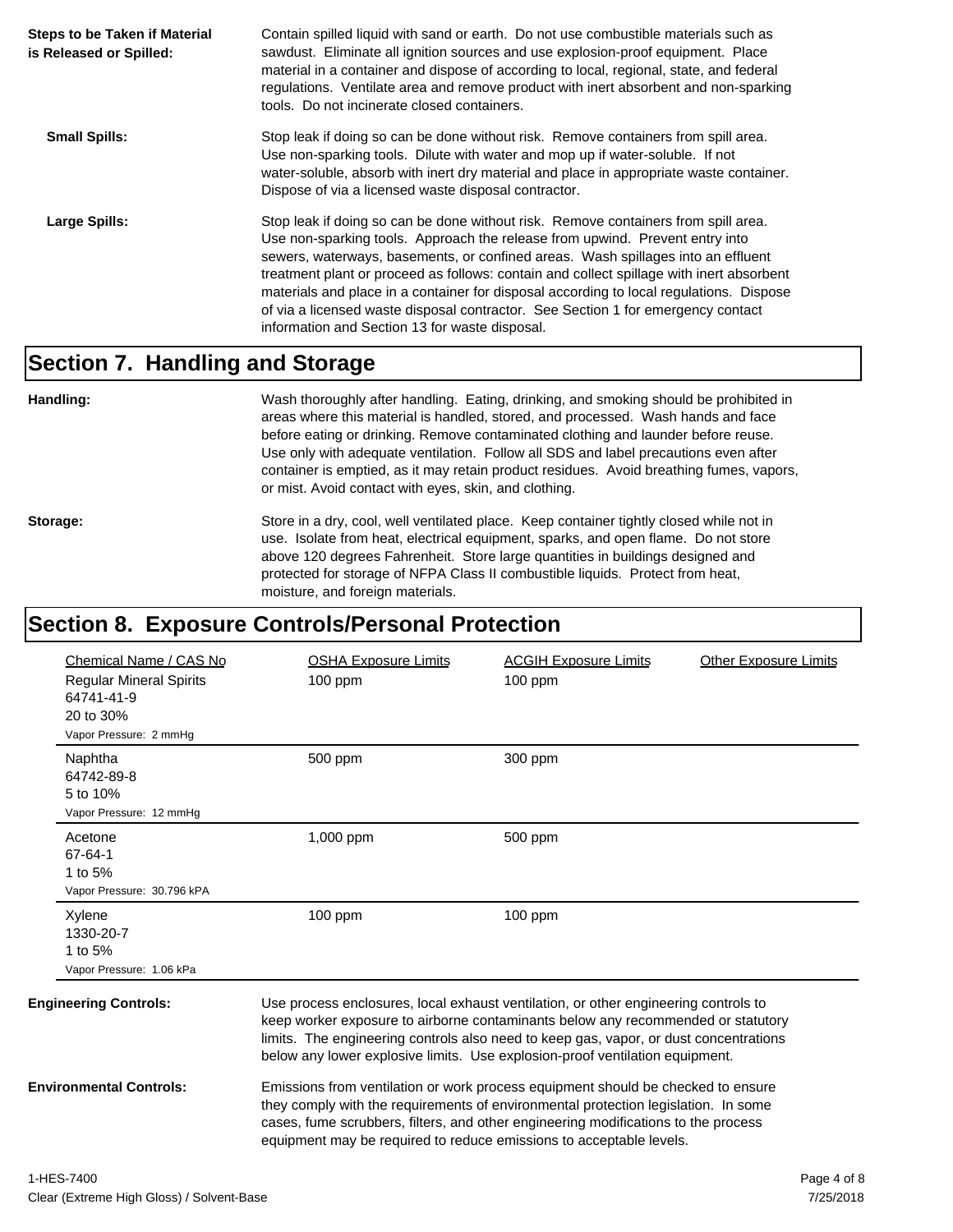| <b>Steps to be Taken if Material</b><br>is Released or Spilled: | Contain spilled liquid with sand or earth. Do not use combustible materials such as<br>sawdust. Eliminate all ignition sources and use explosion-proof equipment. Place<br>material in a container and dispose of according to local, regional, state, and federal<br>regulations. Ventilate area and remove product with inert absorbent and non-sparking<br>tools. Do not incinerate closed containers.                                                                                                                                                                           |
|-----------------------------------------------------------------|-------------------------------------------------------------------------------------------------------------------------------------------------------------------------------------------------------------------------------------------------------------------------------------------------------------------------------------------------------------------------------------------------------------------------------------------------------------------------------------------------------------------------------------------------------------------------------------|
| <b>Small Spills:</b>                                            | Stop leak if doing so can be done without risk. Remove containers from spill area.<br>Use non-sparking tools. Dilute with water and mop up if water-soluble. If not<br>water-soluble, absorb with inert dry material and place in appropriate waste container.<br>Dispose of via a licensed waste disposal contractor.                                                                                                                                                                                                                                                              |
| Large Spills:                                                   | Stop leak if doing so can be done without risk. Remove containers from spill area.<br>Use non-sparking tools. Approach the release from upwind. Prevent entry into<br>sewers, waterways, basements, or confined areas. Wash spillages into an effluent<br>treatment plant or proceed as follows: contain and collect spillage with inert absorbent<br>materials and place in a container for disposal according to local regulations. Dispose<br>of via a licensed waste disposal contractor. See Section 1 for emergency contact<br>information and Section 13 for waste disposal. |

#### **Section 7. Handling and Storage**

**Handling:** Wash thoroughly after handling. Eating, drinking, and smoking should be prohibited in areas where this material is handled, stored, and processed. Wash hands and face before eating or drinking. Remove contaminated clothing and launder before reuse. Use only with adequate ventilation. Follow all SDS and label precautions even after container is emptied, as it may retain product residues. Avoid breathing fumes, vapors, or mist. Avoid contact with eyes, skin, and clothing.

Storage: Store in a dry, cool, well ventilated place. Keep container tightly closed while not in use. Isolate from heat, electrical equipment, sparks, and open flame. Do not store above 120 degrees Fahrenheit. Store large quantities in buildings designed and protected for storage of NFPA Class II combustible liquids. Protect from heat, moisture, and foreign materials.

#### **Section 8. Exposure Controls/Personal Protection**

|                                | Chemical Name / CAS No                                     | <b>OSHA Exposure Limits</b>                                                                                                                                                                                                                                                                                                                      | <b>ACGIH Exposure Limits</b> | <b>Other Exposure Limits</b> |
|--------------------------------|------------------------------------------------------------|--------------------------------------------------------------------------------------------------------------------------------------------------------------------------------------------------------------------------------------------------------------------------------------------------------------------------------------------------|------------------------------|------------------------------|
|                                | <b>Regular Mineral Spirits</b><br>64741-41-9<br>20 to 30%  | $100$ ppm                                                                                                                                                                                                                                                                                                                                        | $100$ ppm                    |                              |
|                                | Vapor Pressure: 2 mmHg                                     |                                                                                                                                                                                                                                                                                                                                                  |                              |                              |
|                                | Naphtha<br>64742-89-8                                      | 500 ppm                                                                                                                                                                                                                                                                                                                                          | 300 ppm                      |                              |
|                                | 5 to 10%<br>Vapor Pressure: 12 mmHq                        |                                                                                                                                                                                                                                                                                                                                                  |                              |                              |
|                                | Acetone<br>67-64-1                                         | 1,000 ppm                                                                                                                                                                                                                                                                                                                                        | 500 ppm                      |                              |
|                                | 1 to $5%$                                                  |                                                                                                                                                                                                                                                                                                                                                  |                              |                              |
|                                | Vapor Pressure: 30.796 kPA                                 |                                                                                                                                                                                                                                                                                                                                                  |                              |                              |
|                                | Xylene<br>1330-20-7<br>1 to 5%<br>Vapor Pressure: 1.06 kPa | $100$ ppm                                                                                                                                                                                                                                                                                                                                        | $100$ ppm                    |                              |
|                                |                                                            |                                                                                                                                                                                                                                                                                                                                                  |                              |                              |
| <b>Engineering Controls:</b>   |                                                            | Use process enclosures, local exhaust ventilation, or other engineering controls to<br>keep worker exposure to airborne contaminants below any recommended or statutory<br>limits. The engineering controls also need to keep gas, vapor, or dust concentrations<br>below any lower explosive limits. Use explosion-proof ventilation equipment. |                              |                              |
| <b>Environmental Controls:</b> |                                                            | Emissions from ventilation or work process equipment should be checked to ensure<br>they comply with the requirements of environmental protection legislation. In some<br>cases, fume scrubbers, filters, and other engineering modifications to the process<br>equipment may be required to reduce emissions to acceptable levels.              |                              |                              |
|                                |                                                            |                                                                                                                                                                                                                                                                                                                                                  |                              |                              |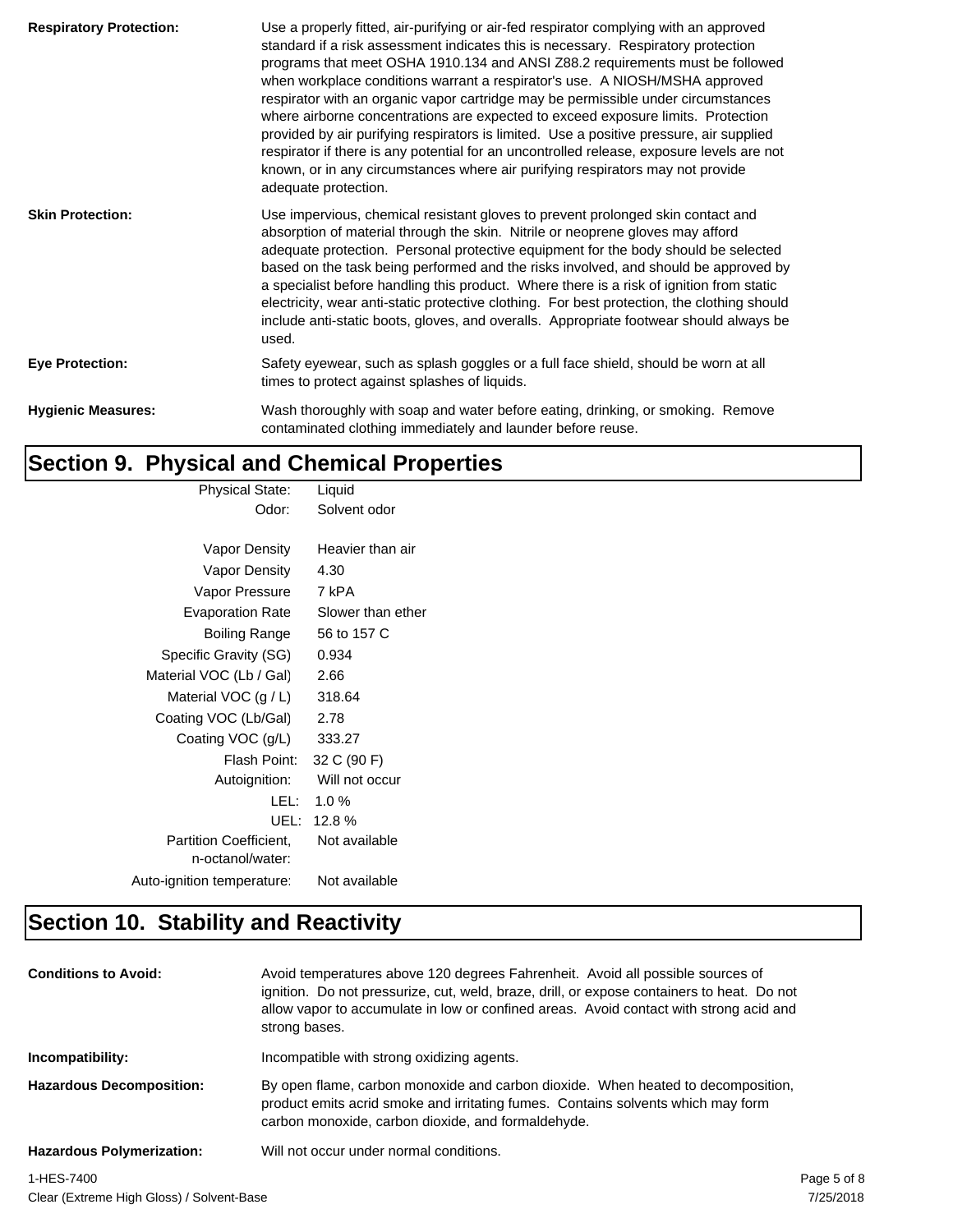| <b>Respiratory Protection:</b> | Use a properly fitted, air-purifying or air-fed respirator complying with an approved<br>standard if a risk assessment indicates this is necessary. Respiratory protection<br>programs that meet OSHA 1910.134 and ANSI Z88.2 requirements must be followed<br>when workplace conditions warrant a respirator's use. A NIOSH/MSHA approved<br>respirator with an organic vapor cartridge may be permissible under circumstances<br>where airborne concentrations are expected to exceed exposure limits. Protection<br>provided by air purifying respirators is limited. Use a positive pressure, air supplied<br>respirator if there is any potential for an uncontrolled release, exposure levels are not<br>known, or in any circumstances where air purifying respirators may not provide<br>adequate protection. |
|--------------------------------|-----------------------------------------------------------------------------------------------------------------------------------------------------------------------------------------------------------------------------------------------------------------------------------------------------------------------------------------------------------------------------------------------------------------------------------------------------------------------------------------------------------------------------------------------------------------------------------------------------------------------------------------------------------------------------------------------------------------------------------------------------------------------------------------------------------------------|
| <b>Skin Protection:</b>        | Use impervious, chemical resistant gloves to prevent prolonged skin contact and<br>absorption of material through the skin. Nitrile or neoprene gloves may afford<br>adequate protection. Personal protective equipment for the body should be selected<br>based on the task being performed and the risks involved, and should be approved by<br>a specialist before handling this product. Where there is a risk of ignition from static<br>electricity, wear anti-static protective clothing. For best protection, the clothing should<br>include anti-static boots, gloves, and overalls. Appropriate footwear should always be<br>used.                                                                                                                                                                          |
| <b>Eye Protection:</b>         | Safety eyewear, such as splash goggles or a full face shield, should be worn at all<br>times to protect against splashes of liquids.                                                                                                                                                                                                                                                                                                                                                                                                                                                                                                                                                                                                                                                                                  |
| <b>Hygienic Measures:</b>      | Wash thoroughly with soap and water before eating, drinking, or smoking. Remove<br>contaminated clothing immediately and launder before reuse.                                                                                                                                                                                                                                                                                                                                                                                                                                                                                                                                                                                                                                                                        |

# **Section 9. Physical and Chemical Properties**

| <b>Physical State:</b>        | Liquid            |
|-------------------------------|-------------------|
| Odor:                         | Solvent odor      |
|                               |                   |
| Vapor Density                 | Heavier than air  |
| Vapor Density                 | 4.30              |
| Vapor Pressure                | 7 kPA             |
| <b>Evaporation Rate</b>       | Slower than ether |
| Boiling Range                 | 56 to 157 C       |
| Specific Gravity (SG)         | 0.934             |
| Material VOC (Lb / Gal)       | 2.66              |
| Material VOC $(g/L)$          | 318.64            |
| Coating VOC (Lb/Gal)          | 2.78              |
| Coating VOC (g/L)             | 333.27            |
| Flash Point:                  | 32 C (90 F)       |
| Autoignition:                 | Will not occur    |
| LEL: I                        | 1.0%              |
| UEL:                          | 12.8%             |
| <b>Partition Coefficient.</b> | Not available     |
| n-octanol/water:              |                   |
| Auto-ignition temperature:    | Not available     |

# **Section 10. Stability and Reactivity**

| <b>Conditions to Avoid:</b>               | Avoid temperatures above 120 degrees Fahrenheit. Avoid all possible sources of<br>ignition. Do not pressurize, cut, weld, braze, drill, or expose containers to heat. Do not<br>allow vapor to accumulate in low or confined areas. Avoid contact with strong acid and<br>strong bases. |             |
|-------------------------------------------|-----------------------------------------------------------------------------------------------------------------------------------------------------------------------------------------------------------------------------------------------------------------------------------------|-------------|
| Incompatibility:                          | Incompatible with strong oxidizing agents.                                                                                                                                                                                                                                              |             |
| <b>Hazardous Decomposition:</b>           | By open flame, carbon monoxide and carbon dioxide. When heated to decomposition,<br>product emits acrid smoke and irritating fumes. Contains solvents which may form<br>carbon monoxide, carbon dioxide, and formaldehyde.                                                              |             |
| <b>Hazardous Polymerization:</b>          | Will not occur under normal conditions.                                                                                                                                                                                                                                                 |             |
| 1-HES-7400                                |                                                                                                                                                                                                                                                                                         | Page 5 of 8 |
| Close (Extrama High Glose) / Solvent Base |                                                                                                                                                                                                                                                                                         | 7/25/2019   |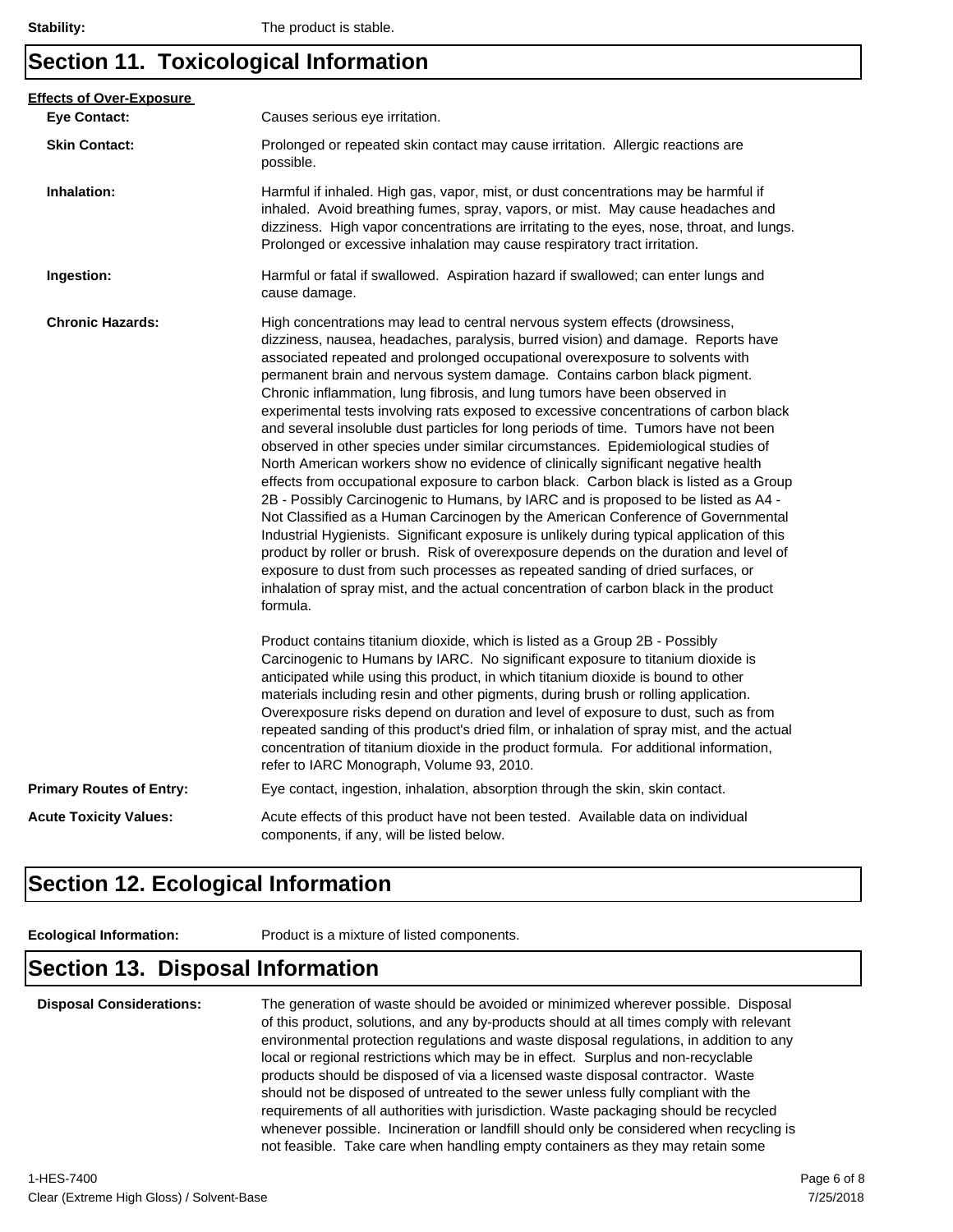## **Section 11. Toxicological Information**

| <b>Eye Contact:</b>             | Causes serious eye irritation.                                                                                                                                                                                                                                                                                                                                                                                                                                                                                                                                                                                                                                                                                                                                                                                                                                                                                                                                                                                                                                                                                                                                                                                                                                                                                                                                                                                       |
|---------------------------------|----------------------------------------------------------------------------------------------------------------------------------------------------------------------------------------------------------------------------------------------------------------------------------------------------------------------------------------------------------------------------------------------------------------------------------------------------------------------------------------------------------------------------------------------------------------------------------------------------------------------------------------------------------------------------------------------------------------------------------------------------------------------------------------------------------------------------------------------------------------------------------------------------------------------------------------------------------------------------------------------------------------------------------------------------------------------------------------------------------------------------------------------------------------------------------------------------------------------------------------------------------------------------------------------------------------------------------------------------------------------------------------------------------------------|
| <b>Skin Contact:</b>            | Prolonged or repeated skin contact may cause irritation. Allergic reactions are<br>possible.                                                                                                                                                                                                                                                                                                                                                                                                                                                                                                                                                                                                                                                                                                                                                                                                                                                                                                                                                                                                                                                                                                                                                                                                                                                                                                                         |
| Inhalation:                     | Harmful if inhaled. High gas, vapor, mist, or dust concentrations may be harmful if<br>inhaled. Avoid breathing fumes, spray, vapors, or mist. May cause headaches and<br>dizziness. High vapor concentrations are irritating to the eyes, nose, throat, and lungs.<br>Prolonged or excessive inhalation may cause respiratory tract irritation.                                                                                                                                                                                                                                                                                                                                                                                                                                                                                                                                                                                                                                                                                                                                                                                                                                                                                                                                                                                                                                                                     |
| Ingestion:                      | Harmful or fatal if swallowed. Aspiration hazard if swallowed; can enter lungs and<br>cause damage.                                                                                                                                                                                                                                                                                                                                                                                                                                                                                                                                                                                                                                                                                                                                                                                                                                                                                                                                                                                                                                                                                                                                                                                                                                                                                                                  |
| <b>Chronic Hazards:</b>         | High concentrations may lead to central nervous system effects (drowsiness,<br>dizziness, nausea, headaches, paralysis, burred vision) and damage. Reports have<br>associated repeated and prolonged occupational overexposure to solvents with<br>permanent brain and nervous system damage. Contains carbon black pigment.<br>Chronic inflammation, lung fibrosis, and lung tumors have been observed in<br>experimental tests involving rats exposed to excessive concentrations of carbon black<br>and several insoluble dust particles for long periods of time. Tumors have not been<br>observed in other species under similar circumstances. Epidemiological studies of<br>North American workers show no evidence of clinically significant negative health<br>effects from occupational exposure to carbon black. Carbon black is listed as a Group<br>2B - Possibly Carcinogenic to Humans, by IARC and is proposed to be listed as A4 -<br>Not Classified as a Human Carcinogen by the American Conference of Governmental<br>Industrial Hygienists. Significant exposure is unlikely during typical application of this<br>product by roller or brush. Risk of overexposure depends on the duration and level of<br>exposure to dust from such processes as repeated sanding of dried surfaces, or<br>inhalation of spray mist, and the actual concentration of carbon black in the product<br>formula. |
|                                 | Product contains titanium dioxide, which is listed as a Group 2B - Possibly<br>Carcinogenic to Humans by IARC. No significant exposure to titanium dioxide is<br>anticipated while using this product, in which titanium dioxide is bound to other<br>materials including resin and other pigments, during brush or rolling application.<br>Overexposure risks depend on duration and level of exposure to dust, such as from<br>repeated sanding of this product's dried film, or inhalation of spray mist, and the actual<br>concentration of titanium dioxide in the product formula. For additional information,<br>refer to IARC Monograph, Volume 93, 2010.                                                                                                                                                                                                                                                                                                                                                                                                                                                                                                                                                                                                                                                                                                                                                    |
| <b>Primary Routes of Entry:</b> | Eye contact, ingestion, inhalation, absorption through the skin, skin contact.                                                                                                                                                                                                                                                                                                                                                                                                                                                                                                                                                                                                                                                                                                                                                                                                                                                                                                                                                                                                                                                                                                                                                                                                                                                                                                                                       |
| <b>Acute Toxicity Values:</b>   | Acute effects of this product have not been tested. Available data on individual<br>components, if any, will be listed below.                                                                                                                                                                                                                                                                                                                                                                                                                                                                                                                                                                                                                                                                                                                                                                                                                                                                                                                                                                                                                                                                                                                                                                                                                                                                                        |

### **Section 12. Ecological Information**

**Ecological Information:** Product is a mixture of listed components.

#### **Section 13. Disposal Information**

| <b>Disposal Considerations:</b> | The generation of waste should be avoided or minimized wherever possible. Disposal       |  |  |
|---------------------------------|------------------------------------------------------------------------------------------|--|--|
|                                 | of this product, solutions, and any by-products should at all times comply with relevant |  |  |
|                                 | environmental protection regulations and waste disposal regulations, in addition to any  |  |  |
|                                 | local or regional restrictions which may be in effect. Surplus and non-recyclable        |  |  |
|                                 | products should be disposed of via a licensed waste disposal contractor. Waste           |  |  |
|                                 | should not be disposed of untreated to the sewer unless fully compliant with the         |  |  |
|                                 | requirements of all authorities with jurisdiction. Waste packaging should be recycled    |  |  |
|                                 | whenever possible. Incineration or landfill should only be considered when recycling is  |  |  |
|                                 | not feasible. Take care when handling empty containers as they may retain some           |  |  |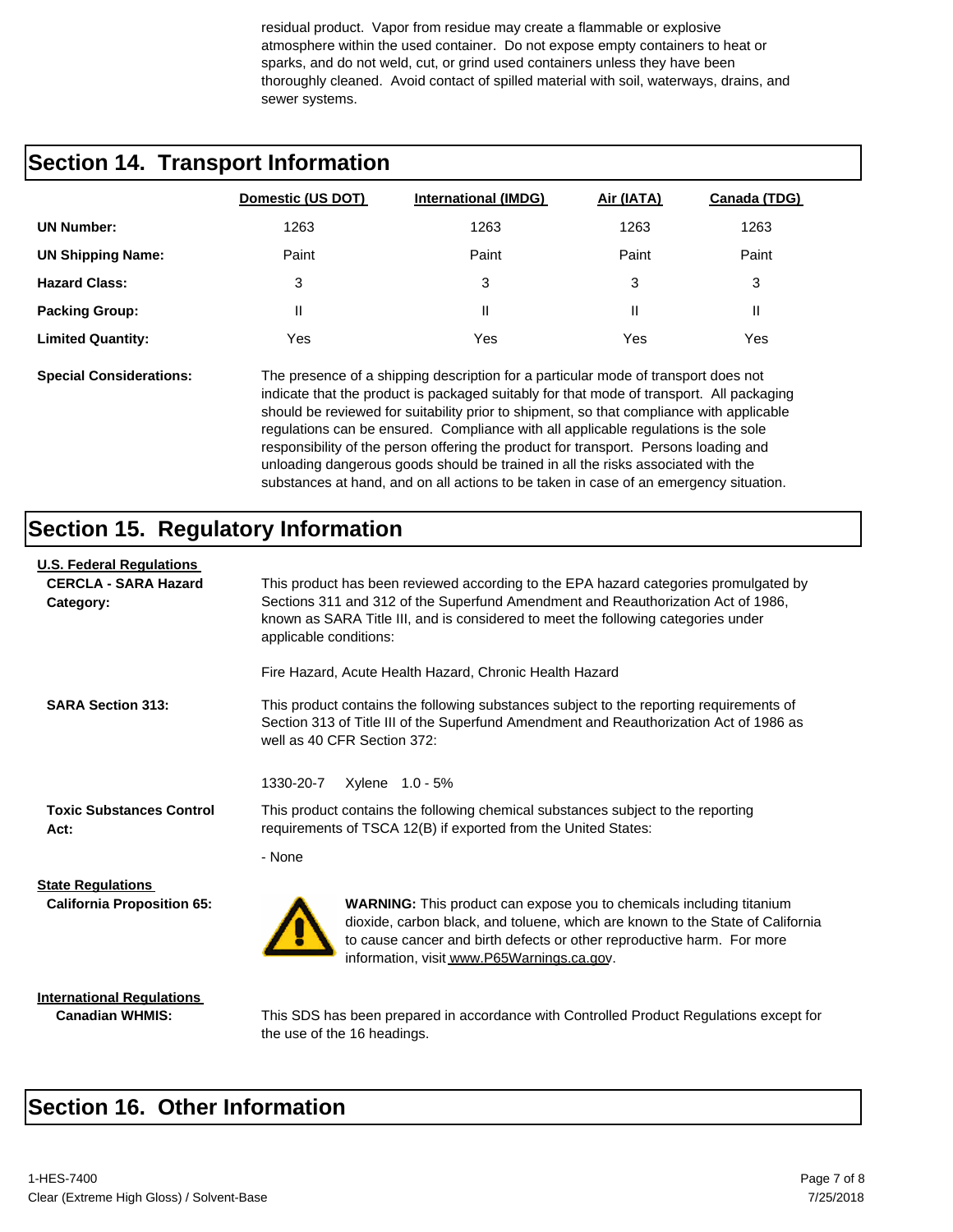residual product. Vapor from residue may create a flammable or explosive atmosphere within the used container. Do not expose empty containers to heat or sparks, and do not weld, cut, or grind used containers unless they have been thoroughly cleaned. Avoid contact of spilled material with soil, waterways, drains, and sewer systems.

#### **Section 14. Transport Information**

|                          | Domestic (US DOT) | <b>International (IMDG)</b> | Air (IATA) | Canada (TDG) |
|--------------------------|-------------------|-----------------------------|------------|--------------|
| <b>UN Number:</b>        | 1263              | 1263                        | 1263       | 1263         |
| <b>UN Shipping Name:</b> | Paint             | Paint                       | Paint      | Paint        |
| <b>Hazard Class:</b>     | 3                 | 3                           | 3          | 3            |
| <b>Packing Group:</b>    | H                 | Ш                           | Ш          | Ш            |
| <b>Limited Quantity:</b> | Yes               | Yes                         | Yes        | Yes          |
|                          |                   |                             |            |              |

**Special Considerations:** The presence of a shipping description for a particular mode of transport does not indicate that the product is packaged suitably for that mode of transport. All packaging should be reviewed for suitability prior to shipment, so that compliance with applicable regulations can be ensured. Compliance with all applicable regulations is the sole responsibility of the person offering the product for transport. Persons loading and unloading dangerous goods should be trained in all the risks associated with the substances at hand, and on all actions to be taken in case of an emergency situation.

#### **Section 15. Regulatory Information**

| <b>U.S. Federal Regulations</b>                               |                                                                                                                                                                                                                                                                                         |  |  |  |
|---------------------------------------------------------------|-----------------------------------------------------------------------------------------------------------------------------------------------------------------------------------------------------------------------------------------------------------------------------------------|--|--|--|
| <b>CERCLA - SARA Hazard</b><br>Category:                      | This product has been reviewed according to the EPA hazard categories promulgated by<br>Sections 311 and 312 of the Superfund Amendment and Reauthorization Act of 1986,<br>known as SARA Title III, and is considered to meet the following categories under<br>applicable conditions: |  |  |  |
|                                                               | Fire Hazard, Acute Health Hazard, Chronic Health Hazard                                                                                                                                                                                                                                 |  |  |  |
| <b>SARA Section 313:</b>                                      | This product contains the following substances subject to the reporting requirements of<br>Section 313 of Title III of the Superfund Amendment and Reauthorization Act of 1986 as<br>well as 40 CFR Section 372:                                                                        |  |  |  |
|                                                               | 1330-20-7<br>Xylene 1.0 - 5%                                                                                                                                                                                                                                                            |  |  |  |
| <b>Toxic Substances Control</b><br>Act:                       | This product contains the following chemical substances subject to the reporting<br>requirements of TSCA 12(B) if exported from the United States:                                                                                                                                      |  |  |  |
|                                                               | - None                                                                                                                                                                                                                                                                                  |  |  |  |
| <b>State Regulations</b><br><b>California Proposition 65:</b> | <b>WARNING:</b> This product can expose you to chemicals including titanium<br>dioxide, carbon black, and toluene, which are known to the State of California<br>to cause cancer and birth defects or other reproductive harm. For more<br>information, visit www.P65Warnings.ca.gov.   |  |  |  |
| <b>International Requiations</b>                              |                                                                                                                                                                                                                                                                                         |  |  |  |

**Canadian WHMIS:** This SDS has been prepared in accordance with Controlled Product Regulations except for the use of the 16 headings.

#### **Section 16. Other Information**